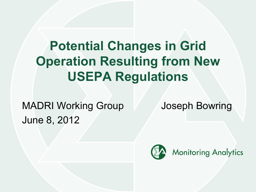# **Potential Changes in Grid Operation Resulting from New USEPA Regulations**

MADRI Working Group Joseph Bowring June 8, 2012

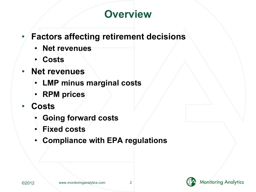## **Overview**

### • **Factors affecting retirement decisions**

- **Net revenues**
- **Costs**
- **Net revenues**
	- **LMP minus marginal costs**
	- **RPM prices**
- **Costs**
	- **Going forward costs**
	- **Fixed costs**
	- **Compliance with EPA regulations**



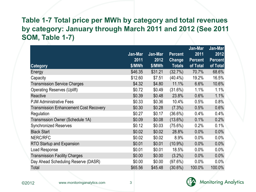#### **Table 1-7 Total price per MWh by category and total revenues by category: January through March 2011 and 2012 (See 2011 SOM, Table 1-7)**

|                                               |         |         |                | Jan-Mar        | Jan-Mar        |
|-----------------------------------------------|---------|---------|----------------|----------------|----------------|
|                                               | Jan-Mar | Jan-Mar | <b>Percent</b> | 2011           | 2012           |
|                                               | 2011    | 2012    | <b>Change</b>  | <b>Percent</b> | <b>Percent</b> |
| <b>Category</b>                               | \$/MWh  | \$/MWh  | <b>Totals</b>  | of Total       | of Total       |
| Energy                                        | \$46.35 | \$31.21 | (32.7%)        | 70.7%          | 68.6%          |
| Capacity                                      | \$12.60 | \$7.51  | $(40.4\%)$     | 19.2%          | 16.5%          |
| <b>Transmission Service Charges</b>           | \$4.32  | \$4.80  | 11.1%          | 6.6%           | 10.6%          |
| <b>Operating Reserves (Uplift)</b>            | \$0.72  | \$0.49  | (31.6%)        | 1.1%           | 1.1%           |
| Reactive                                      | \$0.39  | \$0.48  | 23.8%          | 0.6%           | 1.1%           |
| <b>PJM Administrative Fees</b>                | \$0.33  | \$0.36  | 10.4%          | 0.5%           | 0.8%           |
| <b>Transmission Enhancement Cost Recovery</b> | \$0.30  | \$0.28  | (7.3%)         | 0.5%           | 0.6%           |
| Regulation                                    | \$0.27  | \$0.17  | (36.6%)        | 0.4%           | 0.4%           |
| Transmssion Owner (Schedule 1A)               | \$0.09  | \$0.08  | $(13.6\%)$     | 0.1%           | 0.2%           |
| <b>Synchronized Reserves</b>                  | \$0.12  | \$0.03  | $(75.6\%)$     | 0.2%           | 0.1%           |
| <b>Black Start</b>                            | \$0.02  | \$0.02  | 28.8%          | 0.0%           | 0.0%           |
| NERC/RFC                                      | \$0.02  | \$0.02  | 8.9%           | 0.0%           | 0.0%           |
| RTO Startup and Expansion                     | \$0.01  | \$0.01  | $(10.9\%)$     | 0.0%           | $0.0\%$        |
| Load Response                                 | \$0.01  | \$0.01  | 18.5%          | 0.0%           | 0.0%           |
| <b>Transmission Facility Charges</b>          | \$0.00  | \$0.00  | $(3.2\%)$      | 0.0%           | 0.0%           |
| Day Ahead Scheduling Reserve (DASR)           | \$0.00  | \$0.00  | (97.6%)        | 0.0%           | 0.0%           |
| Total                                         | \$65.56 | \$45.48 | $(30.6\%)$     | 100.0%         | 100.0%         |

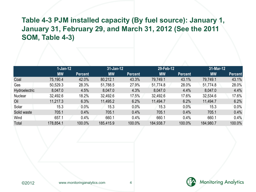#### **Table 4-3 PJM installed capacity (By fuel source): January 1, January 31, February 29, and March 31, 2012 (See the 2011 SOM, Table 4-3)**

|               | $1-Jan-12$ |         | $31 - Jan-12$ |         | 29-Feb-12 |                | 31-Mar-12 |                |
|---------------|------------|---------|---------------|---------|-----------|----------------|-----------|----------------|
|               | <b>MW</b>  | Percent | <b>MW</b>     | Percent | <b>MW</b> | <b>Percent</b> | <b>MW</b> | <b>Percent</b> |
| Coal          | 75,190.4   | 42.0%   | 80,212.1      | 43.3%   | 79,749.1  | 43.1%          | 79,749.1  | 43.1%          |
| Gas           | 50,529.3   | 28.3%   | 51,788.5      | 27.9%   | 51,774.8  | 28.0%          | 51,774.8  | 28.0%          |
| Hydroelectric | 8,047.0    | 4.5%    | 8,047.0       | 4.3%    | 8,047.0   | 4.4%           | 8,047.0   | 4.4%           |
| Nuclear       | 32,492.6   | 18.2%   | 32,492.6      | 17.5%   | 32,492.6  | 17.6%          | 32,534.6  | 17.6%          |
| Oil           | 11,217.3   | 6.3%    | 11,495.2      | 6.2%    | 11,494.7  | 6.2%           | 11,494.7  | 6.2%           |
| Solar         | 15.3       | 0.0%    | 15.3          | 0.0%    | 15.3      | 0.0%           | 15.3      | $0.0\%$        |
| Solid waste   | 705.1      | 0.4%    | 705.1         | 0.4%    | 705.1     | 0.4%           | 705.1     | 0.4%           |
| Wind          | 657.1      | 0.4%    | 660.1         | 0.4%    | 660.1     | 0.4%           | 660.1     | 0.4%           |
| Total         | 178,854.1  | 100.0%  | 185,415.9     | 100.0%  | 184,938.7 | 100.0%         | 184,980.7 | 100.0%         |

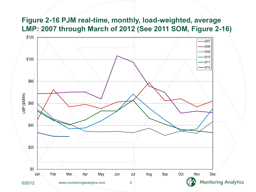#### **Figure 2-16 PJM real-time, monthly, load-weighted, average LMP: 2007 through March of 2012 (See 2011 SOM, Figure 2-16)**

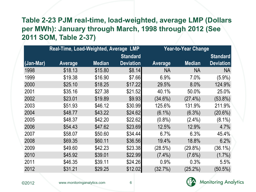#### **Table 2-23 PJM real-time, load-weighted, average LMP (Dollars per MWh): January through March, 1998 through 2012 (See 2011 SOM, Table 2-37)**

|           | Real-Time, Load-Weighted, Average LMP |               |                  |                | <b>Year-to-Year Change</b> |                  |
|-----------|---------------------------------------|---------------|------------------|----------------|----------------------------|------------------|
|           |                                       |               | <b>Standard</b>  |                |                            | <b>Standard</b>  |
| (Jan-Mar) | <b>Average</b>                        | <b>Median</b> | <b>Deviation</b> | <b>Average</b> | <b>Median</b>              | <b>Deviation</b> |
| 1998      | \$18.13                               | \$15.80       | \$8.14]          | NА             | <b>NA</b>                  | NA               |
| 1999      | \$19.38                               | \$16.90       | \$7.66           | 6.9%           | 7.0%                       | $(5.9\%)$        |
| 2000      | \$25.10                               | \$18.25       | \$17.22          | 29.5%          | 8.0%                       | 124.9%           |
| 2001      | \$35.16                               | \$27.38       | \$21.52          | 40.1%          | 50.0%                      | 25.0%            |
| 2002      | \$23.01                               | \$19.89       | \$9.93           | $(34.6\%)$     | $(27.4\%)$                 | $(53.8\%)$       |
| 2003      | \$51.93                               | \$46.12       | \$30.99          | 125.6%         | 131.9%                     | 211.9%           |
| 2004      | \$48.77                               | \$43.22       | \$24.62          | $(6.1\%)$      | $(6.3\%)$                  | $(20.6\%)$       |
| 2005      | \$48.37                               | \$42.20       | \$22.62          | $(0.8\%)$      | $(2.4\%)$                  | $(8.1\%)$        |
| 2006      | \$54.43                               | \$47.62       | \$23.69          | 12.5%          | 12.9%                      | 4.7%             |
| 2007      | \$58.07                               | \$50.60       | \$34.44          | 6.7%           | 6.3%                       | 45.4%            |
| 2008      | \$69.35                               | \$60.11       | \$36.56          | 19.4%          | 18.8%                      | 6.2%             |
| 2009      | \$49.60                               | \$42.23       | \$23.38          | (28.5%)        | $(29.8\%)$                 | $(36.1\%)$       |
| 2010      | \$45.92                               | \$39.01       | \$22.99          | $(7.4\%)$      | $(7.6\%)$                  | $(1.7\%)$        |
| 2011      | \$46.35                               | \$39.11       | \$24.26          | 0.9%           | 0.3%                       | 5.5%             |
| 2012      | \$31.21                               | \$29.25       | \$12.02          | (32.7%)        | $(25.2\%)$                 | $(50.5\%)$       |

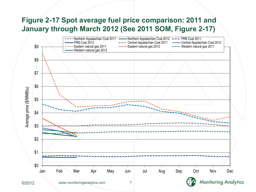#### **Figure 2-17 Spot average fuel price comparison: 2011 and January through March 2012 (See 2011 SOM, Figure 2-17)**

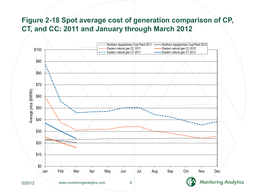#### **Figure 2-18 Spot average cost of generation comparison of CP, CT, and CC: 2011 and January through March 2012**



©2012 www.monitoringanalytics.com 8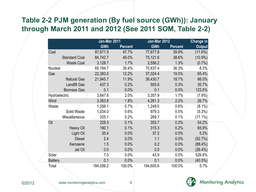#### **Table 2-2 PJM generation (By fuel source (GWh)): January through March 2011 and 2012 (See 2011 SOM, Table 2-2)**

|                |                      | Jan-Mar 2011 |                | Jan-Mar 2012 |                | <b>Change in</b> |
|----------------|----------------------|--------------|----------------|--------------|----------------|------------------|
|                |                      | <b>GWh</b>   | <b>Percent</b> | <b>GWh</b>   | <b>Percent</b> | <b>Output</b>    |
| Coal           |                      | 87,871.5     | 47.7%          | 77,677.8     | 39.9%          | $(11.6\%)$       |
|                | <b>Standard Coal</b> | 84,742.7     | 46.0%          | 75,121.6     | 38.6%          | $(10.9\%)$       |
|                | <b>Waste Coal</b>    | 3,128.7      | 1.7%           | 2,556.2      | 1.3%           | $(0.7\%)$        |
| Nuclear        |                      | 65,194.7     | 35.4%          | 70,637.4     | 36.3%          | 8.3%             |
| Gas            |                      | 22,383.0     | 12.2%          | 37,024.4     | 19.0%          | 65.4%            |
|                | <b>Natural Gas</b>   | 21,945.7     | 11.9%          | 36,430.7     | 18.7%          | 66.0%            |
|                | <b>Landfill Gas</b>  | 437.3        | 0.2%           | 593.6        | 0.3%           | 35.7%            |
|                | <b>Biomass Gas</b>   | 0.1          | 0.0%           | 0.1          | 0.0%           | 123.5%           |
| Hydroelectric  |                      | 3,647.6      | 2.0%           | 3,357.9      | 1.7%           | $(7.9\%)$        |
| Wind           |                      | 3,363.8      | 1.8%           | 4,261.3      | 2.2%           | 26.7%            |
| Waste          |                      | 1,359.1      | 0.7%           | 1,249.0      | 0.6%           | $(8.1\%)$        |
|                | Solid Waste          | 1,034.0      | 0.6%           | 979.3        | 0.5%           | (5.3%)           |
|                | Miscellaneous        | 325.1        | 0.2%           | 269.7        | 0.1%           | $(17.1\%)$       |
| Oil            |                      | 229.3        | 0.1%           | 353.7        | 0.2%           | 54.2%            |
|                | <b>Heavy Oil</b>     | 190.1        | 0.1%           | 315.3        | 0.2%           | 65.9%            |
|                | Light Oil            | 35.4         | 0.0%           | 37.2         | 0.0%           | 5.2%             |
|                | <b>Diesel</b>        | 2.4          | 0.0%           | 1.1          | 0.0%           | (52.7%)          |
|                | Kerosene             | 1.5          | 0.0%           | 0.2          | 0.0%           | $(88.4\%)$       |
|                | Jet Oil              | 0.0          | 0.0%           | 0.0          | 0.0%           | $(26.4\%)$       |
| Solar          |                      | 7.0          | 0.0%           | 43.9         | 0.0%           | 526.8%           |
| <b>Battery</b> |                      | 0.1          | 0.0%           | 0.1          | 0.0%           | $(40.5\%)$       |
| Total          |                      | 184,056.2    | 100.0%         | 194,605.6    | 100.0%         | 5.7%             |



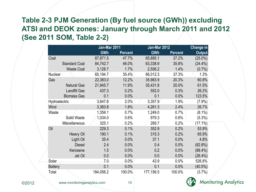#### **Table 2-3 PJM Generation (By fuel source (GWh)) excluding ATSI and DEOK zones: January through March 2011 and 2012 (See 2011 SOM, Table 2-2)**

|                |                      | Jan-Mar 2011 |                | Jan-Mar 2012 |                | Change in  |  |
|----------------|----------------------|--------------|----------------|--------------|----------------|------------|--|
|                |                      | <b>GWh</b>   | <b>Percent</b> | <b>GWh</b>   | <b>Percent</b> | Output     |  |
| Coal           |                      | 87,871.5     | 47.7%          | 65,895.1     | 37.2%          | $(25.0\%)$ |  |
|                | <b>Standard Coal</b> | 84,742.7     | 46.0%          | 63,338.9     | 35.8%          | $(24.4\%)$ |  |
|                | <b>Waste Coal</b>    | 3,128.7      | 1.7%           | 2,556.2      | 1.4%           | $(0.7\%)$  |  |
| Nuclear        |                      | 65,194.7     | 35.4%          | 66,012.3     | 37.3%          | 1.3%       |  |
| Gas            |                      | 22,383.0     | 12.2%          | 35,983.9     | 20.3%          | 60.8%      |  |
|                | <b>Natural Gas</b>   | 21,945.7     | 11.9%          | 35,431.8     | 20.0%          | 61.5%      |  |
|                | <b>Landfill Gas</b>  | 437.3        | 0.2%           | 552.0        | 0.3%           | 26.2%      |  |
|                | <b>Biomass Gas</b>   | 0.1          | 0.0%           | 0.1          | 0.0%           | 123.5%     |  |
| Hydroelectric  |                      | 3,647.6      | 2.0%           | 3,357.9      | 1.9%           | (7.9%)     |  |
| Wind           |                      | 3,363.8      | 1.8%           | 4,261.3      | 2.4%           | 26.7%      |  |
| Waste          |                      | 1,359.1      | 0.7%           | 1,249.0      | 0.7%           | $(8.1\%)$  |  |
|                | Solid Waste          | 1,034.0      | 0.6%           | 979.3        | 0.6%           | (5.3%)     |  |
|                | Miscellaneous        | 325.1        | 0.2%           | 269.7        | 0.2%           | $(17.1\%)$ |  |
| Oil            |                      | 229.3        | 0.1%           | 352.9        | 0.2%           | 53.9%      |  |
|                | <b>Heavy Oil</b>     | 190.1        | 0.1%           | 315.3        | 0.2%           | 65.9%      |  |
|                | Light Oil            | 35.4         | 0.0%           | 37.1         | 0.0%           | 4.8%       |  |
|                | <b>Diesel</b>        | 2.4          | 0.0%           | 0.4          | 0.0%           | $(82.8\%)$ |  |
|                | Kerosene             | 1.5          | 0.0%           | 0.2          | 0.0%           | $(88.4\%)$ |  |
|                | Jet Oil              | 0.0          | 0.0%           | 0.0          | 0.0%           | $(26.4\%)$ |  |
| Solar          |                      | 7.0          | 0.0%           | 43.9         | 0.0%           | 526.8%     |  |
| <b>Battery</b> |                      | 0.1          | 0.0%           | 0.1          | 0.0%           | $(40.5\%)$ |  |
| Total          |                      | 184,056.2    | 100.0%         | 177,156.5    | 100.0%         | (3.7%)     |  |

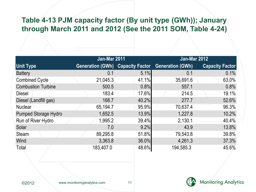#### **Table 4-13 PJM capacity factor (By unit type (GWh)); January through March 2011 and 2012 (See the 2011 SOM, Table 4-24)**

|                             | Jan-Mar 2011                            |       | Jan-Mar 2012            |                        |  |  |
|-----------------------------|-----------------------------------------|-------|-------------------------|------------------------|--|--|
| <b>Unit Type</b>            | <b>Generation (GWh) Capacity Factor</b> |       | <b>Generation (GWh)</b> | <b>Capacity Factor</b> |  |  |
| <b>Battery</b>              | 0.1                                     | 5.1%  | 0.1                     | 0.1%                   |  |  |
| <b>Combined Cycle</b>       | 21,045.3                                | 41.1% | 35,691.6                | 63.0%                  |  |  |
| <b>Combustion Turbine</b>   | 500.5                                   | 0.8%  | 557.1                   | 0.8%                   |  |  |
| <b>Diesel</b>               | 183.4                                   | 17.6% | 214.5                   | 19.1%                  |  |  |
| Diesel (Landfill gas)       | 168.7                                   | 40.2% | 277.7                   | 52.6%                  |  |  |
| <b>Nuclear</b>              | 65,194.7                                | 95.9% | 70,637.4                | 96.3%                  |  |  |
| <b>Pumped Storage Hydro</b> | 1,652.5                                 | 13.9% | 1,227.8                 | 10.2%                  |  |  |
| Run of River Hydro          | 1,995.2                                 | 39.4% | 2,130.1                 | 40.4%                  |  |  |
| Solar                       | 7.0                                     | 9.2%  | 43.9                    | 13.8%                  |  |  |
| <b>Steam</b>                | 89,295.8                                | 51.8% | 79,543.8                | 39.8%                  |  |  |
| Wind                        | 3,363.8                                 | 36.0% | 4,261.3                 | 37.3%                  |  |  |
| Total                       | 183,407.0                               | 48.6% | 194,585.3               | 45.6%                  |  |  |



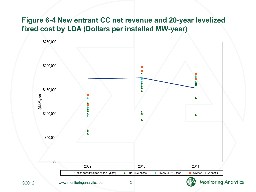#### **Figure 6-4 New entrant CC net revenue and 20-year levelized fixed cost by LDA (Dollars per installed MW-year)**

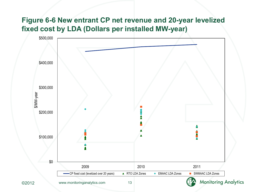#### **Figure 6-6 New entrant CP net revenue and 20-year levelized fixed cost by LDA (Dollars per installed MW-year)**

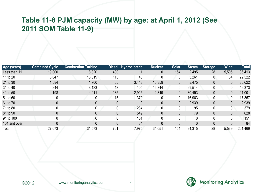#### **Table 11-8 PJM capacity (MW) by age: at April 1, 2012 (See 2011 SOM Table 11-9)**

| Age (years)  | <b>Combined Cycle</b> | <b>Combustion Turbine</b> |     | Diesel Hydroelectric | <b>Nuclear</b> | <b>Solar</b> | <b>Steam</b> | <b>Storage</b> | <b>Wind</b> | <b>Total</b> |
|--------------|-----------------------|---------------------------|-----|----------------------|----------------|--------------|--------------|----------------|-------------|--------------|
| Less than 11 | 19,000                | 8,820                     | 400 | 11                   | 0              | 154          | 2,495        | 28             | 5,505       | 36,413       |
| 11 to 20     | 6,047                 | 13,019                    | 113 | 48                   | 0              | 0            | 3,261        | 0              | 34          | 22,522       |
| 21 to 30     | 1,584                 | 1,700                     | 55  | 3,448                | 15,359         | 0            | 8,475        | $\mathbf{0}$   | 0           | 30,622       |
| 31 to 40     | 244                   | 3,123                     | 43  | 105                  | 16,344         | 0            | 29,514       | 0              |             | 49,373       |
| 41 to 50     | 198                   | 4,911                     | 135 | 2,915                | 2,349          | 0            | 30,493       | 0              | 0           | 41,001       |
| 51 to 60     |                       |                           | 15  | 379                  |                | 0            | 16,963       | 0              | 0           | 17,357       |
| 61 to 70     |                       |                           | 0   | 0                    | 0              | 0            | 2,939        | $\Omega$       | 0           | 2,939        |
| 71 to 80     |                       | 0                         | 0   | 284                  | 0              | 0            | 95           | 0              |             | 379          |
| 81 to 90     |                       |                           | 0   | 549                  | 0              | 0            | 79           | 0              |             | 628          |
| 91 to 100    |                       |                           | 0   | 151                  | 0              | 0            | $\Omega$     | 0              |             | 151          |
| 101 and over |                       |                           | 0   | 84                   | 0              | 0            | 0            | $\theta$       |             | 84           |
| Total        | 27,073                | 31,573                    | 761 | 7,975                | 34,051         | 154          | 94,315       | 28             | 5,539       | 201,469      |

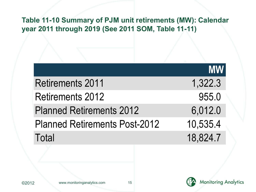#### **Table 11-10 Summary of PJM unit retirements (MW): Calendar year 2011 through 2019 (See 2011 SOM, Table 11-11)**

|                                      | <b>MW</b> |
|--------------------------------------|-----------|
| <b>Retirements 2011</b>              | 1,322.3   |
| <b>Retirements 2012</b>              | 955.0     |
| <b>Planned Retirements 2012</b>      | 6,012.0   |
| <b>Planned Retirements Post-2012</b> | 10,535.4  |
| Total                                | 18,824.7  |

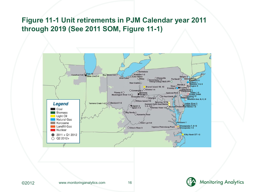#### **Figure 11-1 Unit retirements in PJM Calendar year 2011 through 2019 (See 2011 SOM, Figure 11-1)**



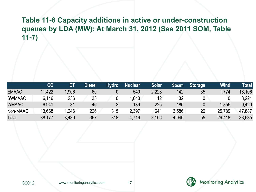#### **Table 11-6 Capacity additions in active or under-construction queues by LDA (MW): At March 31, 2012 (See 2011 SOM, Table 11-7)**

|               | cc     | <b>CT</b> | Diesel | <b>Hydro</b> | <b>Nuclear</b> | Solar | <b>Steam</b> | <b>Storage</b> | <b>Wind</b> | Total  |
|---------------|--------|-----------|--------|--------------|----------------|-------|--------------|----------------|-------------|--------|
| <b>EMAAC</b>  | 11,422 | .906      | 60     |              | 540            | 2,228 | 142          | 35             | 774. ا      | 18,106 |
| <b>SWMAAC</b> | 6,146  | 256       | 35     |              | .640           | 12    | 132          |                |             | 8,221  |
| <b>WMAAC</b>  | 6.941  | 31        | 46     |              | 139            | 225   | 180          |                | 1,855       | 9,420  |
| Non-MAAC      | 13,668 | .246      | 226    | 315          | 2,397          | 641   | 3.586        | 20             | 25,789      | 47,887 |
| Total         | 38,177 | 3.439     | 367    | 318          | 4,716          | 3.106 | 4,040        | 55             | 29,418      | 83,635 |

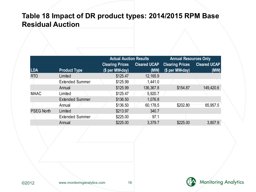#### **Table 18 Impact of DR product types: 2014/2015 RPM Base Residual Auction**

|                   |                        | <b>Actual Auction Results</b> |                     | <b>Annual Resources Only</b> |                     |  |
|-------------------|------------------------|-------------------------------|---------------------|------------------------------|---------------------|--|
|                   |                        | <b>Clearing Prices</b>        | <b>Cleared UCAP</b> | <b>Clearing Prices</b>       | <b>Cleared UCAP</b> |  |
| <b>LDA</b>        | <b>Product Type</b>    | (\$ per MW-day)               | (MW)                | (\$ per MW-day)              | (MW)                |  |
| <b>RTO</b>        | Limited                | \$125.47                      | 12,165.9            |                              |                     |  |
|                   | <b>Extended Summer</b> | \$125.99                      | 1,441.0             |                              |                     |  |
|                   | Annual                 | \$125.99                      | 136,367.8           | \$154.87                     | 149,420.6           |  |
| <b>MAAC</b>       | Limited                | \$125.47                      | 5,920.7             |                              |                     |  |
|                   | <b>Extended Summer</b> | \$136.50                      | 1,076.8             |                              |                     |  |
|                   | Annual                 | \$136.50                      | 60,178.5            | \$202.80                     | 65,957.5            |  |
| <b>PSEG North</b> | Limited                | \$213.97                      | 340.7               |                              |                     |  |
|                   | <b>Extended Summer</b> | \$225.00                      | 97.1                |                              |                     |  |
|                   | Annual                 | \$225.00                      | 3,379.7             | \$225.00                     | 3,807.9             |  |

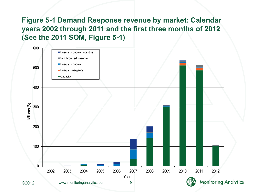**Figure 5-1 Demand Response revenue by market: Calendar years 2002 through 2011 and the first three months of 2012 (See the 2011 SOM, Figure 5-1)**

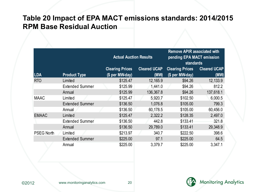#### **Table 20 Impact of EPA MACT emissions standards: 2014/2015 RPM Base Residual Auction**

|                   |                        | <b>Actual Auction Results</b> |                             | <b>Remove APIR associated with</b><br>pending EPA MACT emission<br><b>standards</b> |                     |
|-------------------|------------------------|-------------------------------|-----------------------------|-------------------------------------------------------------------------------------|---------------------|
| <b>LDA</b>        |                        | <b>Clearing Prices</b>        | <b>Cleared UCAP</b><br>(MW) | <b>Clearing Prices</b><br>(\$ per MW-day)                                           | <b>Cleared UCAP</b> |
|                   | <b>Product Type</b>    | (\$ per MW-day)               |                             |                                                                                     | (MW)                |
| <b>RTO</b>        | Limited                | \$125.47                      | 12,165.9                    | \$94.26                                                                             | 12,133.9            |
|                   | <b>Extended Summer</b> | \$125.99                      | 1,441.0                     | \$94.26                                                                             | 812.2               |
|                   | Annual                 | \$125.99                      | 136,367.8                   | \$94.26                                                                             | 137,618.1           |
| <b>MAAC</b>       | Limited                | \$125.47                      | 5,920.7                     | \$102.50                                                                            | 6,000.5             |
|                   | <b>Extended Summer</b> | \$136.50                      | 1,076.8                     | \$105.00                                                                            | 799.3               |
|                   | Annual                 | \$136.50                      | 60,178.5                    | \$105.00                                                                            | 60,456.0            |
| <b>EMAAC</b>      | Limited                | \$125.47                      | 2,322.2                     | \$128.35                                                                            | 2,497.0             |
|                   | <b>Extended Summer</b> | \$136.50                      | 442.8                       | \$133.41                                                                            | 321.8               |
|                   | Annual                 | \$136.50                      | 29,789.0                    | \$133.41                                                                            | 29,348.9            |
| <b>PSEG North</b> | Limited                | \$213.97                      | 340.7                       | \$222.50                                                                            | 398.6               |
|                   | <b>Extended Summer</b> | \$225.00                      | 97.1                        | \$225.00                                                                            | 64.5                |
|                   | Annual                 | \$225.00                      | 3,379.7                     | \$225.00                                                                            | 3,347.1             |



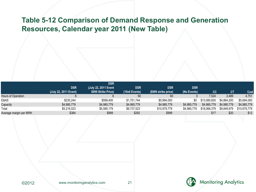#### **Table 5-12 Comparison of Demand Response and Generation Resources, Calendar year 2011 (New Table)**

|                        |                       | <b>DSR</b>           |                 |                      |             |              |             |              |
|------------------------|-----------------------|----------------------|-----------------|----------------------|-------------|--------------|-------------|--------------|
|                        | <b>DSR</b>            | (July 22, 2011 Event | <b>DSR</b>      | <b>DSR</b>           | <b>DSR</b>  |              |             |              |
|                        | (July 22, 2011 Event) | \$999 Strike Price)  | $(10x6$ Events) | (\$999 strike price) | (No Events) | cc           | СT          | Coal         |
| Hours of Operation     |                       |                      | 60              | 60                   |             | 7.524        | 2.489       | 4,751        |
| E&AS                   | \$230,244             | \$599,400            | \$1.751.744     | \$5,994,000          | \$0         | \$13,080,600 | \$4.864.200 | \$5,694,000  |
| Capacity               | \$4,985,779           | \$4,985,779          | \$4,985,779     | \$4,985,779          | \$4,985,779 | \$4,985,779  | \$4,985,779 | \$4,985,779  |
| Total                  | \$5,216,023           | \$5,585,179          | \$6,737,523     | \$10,979,779         | \$4,985,779 | \$18,066,379 | \$9,849,979 | \$10,679,779 |
| Average margin per MWh | \$384                 | \$999                | \$292           | \$999                |             | \$17         | \$20        | \$12         |